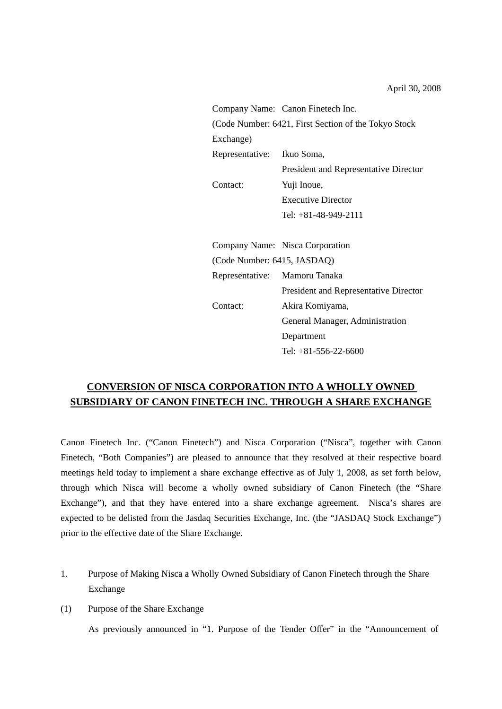|                                                      | Company Name: Canon Finetech Inc.            |  |  |  |  |
|------------------------------------------------------|----------------------------------------------|--|--|--|--|
| (Code Number: 6421, First Section of the Tokyo Stock |                                              |  |  |  |  |
| Exchange)                                            |                                              |  |  |  |  |
| Representative:                                      | Ikuo Soma,                                   |  |  |  |  |
|                                                      | President and Representative Director        |  |  |  |  |
| Contact:                                             | Yuji Inoue,                                  |  |  |  |  |
|                                                      | <b>Executive Director</b>                    |  |  |  |  |
|                                                      | Tel: +81-48-949-2111                         |  |  |  |  |
|                                                      |                                              |  |  |  |  |
|                                                      | Company Name: Nisca Corporation              |  |  |  |  |
| (Code Number: 6415, JASDAQ)                          |                                              |  |  |  |  |
| Representative: Mamoru Tanaka                        |                                              |  |  |  |  |
|                                                      | <b>President and Representative Director</b> |  |  |  |  |
| Contact:                                             | Akira Komiyama,                              |  |  |  |  |
|                                                      | General Manager, Administration              |  |  |  |  |
|                                                      | Department                                   |  |  |  |  |
|                                                      | Tel: $+81-556-22-6600$                       |  |  |  |  |

# **CONVERSION OF NISCA CORPORATION INTO A WHOLLY OWNED SUBSIDIARY OF CANON FINETECH INC. THROUGH A SHARE EXCHANGE**

Canon Finetech Inc. ("Canon Finetech") and Nisca Corporation ("Nisca", together with Canon Finetech, "Both Companies") are pleased to announce that they resolved at their respective board meetings held today to implement a share exchange effective as of July 1, 2008, as set forth below, through which Nisca will become a wholly owned subsidiary of Canon Finetech (the "Share Exchange"), and that they have entered into a share exchange agreement. Nisca's shares are expected to be delisted from the Jasdaq Securities Exchange, Inc. (the "JASDAQ Stock Exchange") prior to the effective date of the Share Exchange.

- 1. Purpose of Making Nisca a Wholly Owned Subsidiary of Canon Finetech through the Share Exchange
- (1) Purpose of the Share Exchange

As previously announced in "1. Purpose of the Tender Offer" in the "Announcement of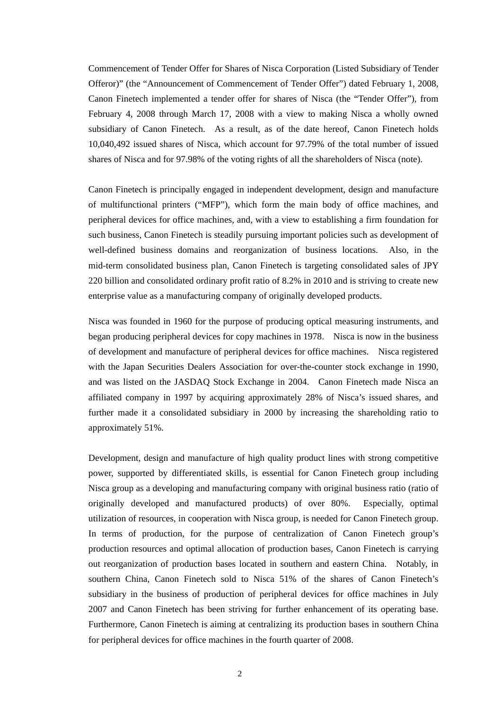Commencement of Tender Offer for Shares of Nisca Corporation (Listed Subsidiary of Tender Offeror)" (the "Announcement of Commencement of Tender Offer") dated February 1, 2008, Canon Finetech implemented a tender offer for shares of Nisca (the "Tender Offer"), from February 4, 2008 through March 17, 2008 with a view to making Nisca a wholly owned subsidiary of Canon Finetech. As a result, as of the date hereof, Canon Finetech holds 10,040,492 issued shares of Nisca, which account for 97.79% of the total number of issued shares of Nisca and for 97.98% of the voting rights of all the shareholders of Nisca (note).

Canon Finetech is principally engaged in independent development, design and manufacture of multifunctional printers ("MFP"), which form the main body of office machines, and peripheral devices for office machines, and, with a view to establishing a firm foundation for such business, Canon Finetech is steadily pursuing important policies such as development of well-defined business domains and reorganization of business locations. Also, in the mid-term consolidated business plan, Canon Finetech is targeting consolidated sales of JPY 220 billion and consolidated ordinary profit ratio of 8.2% in 2010 and is striving to create new enterprise value as a manufacturing company of originally developed products.

Nisca was founded in 1960 for the purpose of producing optical measuring instruments, and began producing peripheral devices for copy machines in 1978. Nisca is now in the business of development and manufacture of peripheral devices for office machines. Nisca registered with the Japan Securities Dealers Association for over-the-counter stock exchange in 1990, and was listed on the JASDAQ Stock Exchange in 2004. Canon Finetech made Nisca an affiliated company in 1997 by acquiring approximately 28% of Nisca's issued shares, and further made it a consolidated subsidiary in 2000 by increasing the shareholding ratio to approximately 51%.

Development, design and manufacture of high quality product lines with strong competitive power, supported by differentiated skills, is essential for Canon Finetech group including Nisca group as a developing and manufacturing company with original business ratio (ratio of originally developed and manufactured products) of over 80%. Especially, optimal utilization of resources, in cooperation with Nisca group, is needed for Canon Finetech group. In terms of production, for the purpose of centralization of Canon Finetech group's production resources and optimal allocation of production bases, Canon Finetech is carrying out reorganization of production bases located in southern and eastern China. Notably, in southern China, Canon Finetech sold to Nisca 51% of the shares of Canon Finetech's subsidiary in the business of production of peripheral devices for office machines in July 2007 and Canon Finetech has been striving for further enhancement of its operating base. Furthermore, Canon Finetech is aiming at centralizing its production bases in southern China for peripheral devices for office machines in the fourth quarter of 2008.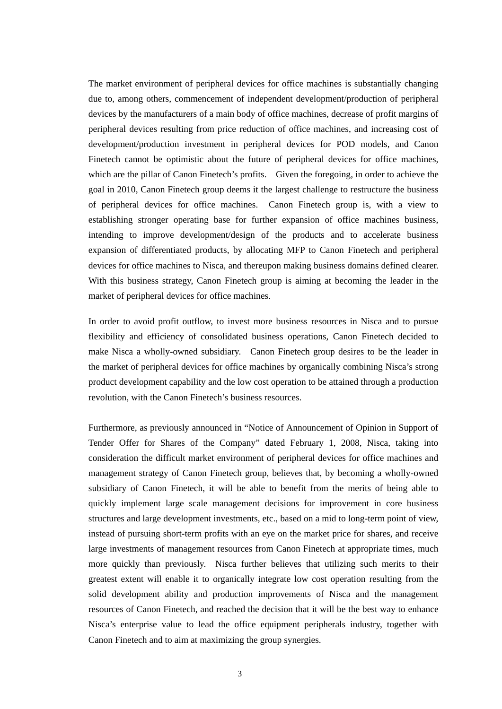The market environment of peripheral devices for office machines is substantially changing due to, among others, commencement of independent development/production of peripheral devices by the manufacturers of a main body of office machines, decrease of profit margins of peripheral devices resulting from price reduction of office machines, and increasing cost of development/production investment in peripheral devices for POD models, and Canon Finetech cannot be optimistic about the future of peripheral devices for office machines, which are the pillar of Canon Finetech's profits. Given the foregoing, in order to achieve the goal in 2010, Canon Finetech group deems it the largest challenge to restructure the business of peripheral devices for office machines. Canon Finetech group is, with a view to establishing stronger operating base for further expansion of office machines business, intending to improve development/design of the products and to accelerate business expansion of differentiated products, by allocating MFP to Canon Finetech and peripheral devices for office machines to Nisca, and thereupon making business domains defined clearer. With this business strategy, Canon Finetech group is aiming at becoming the leader in the market of peripheral devices for office machines.

In order to avoid profit outflow, to invest more business resources in Nisca and to pursue flexibility and efficiency of consolidated business operations, Canon Finetech decided to make Nisca a wholly-owned subsidiary. Canon Finetech group desires to be the leader in the market of peripheral devices for office machines by organically combining Nisca's strong product development capability and the low cost operation to be attained through a production revolution, with the Canon Finetech's business resources.

Furthermore, as previously announced in "Notice of Announcement of Opinion in Support of Tender Offer for Shares of the Company" dated February 1, 2008, Nisca, taking into consideration the difficult market environment of peripheral devices for office machines and management strategy of Canon Finetech group, believes that, by becoming a wholly-owned subsidiary of Canon Finetech, it will be able to benefit from the merits of being able to quickly implement large scale management decisions for improvement in core business structures and large development investments, etc., based on a mid to long-term point of view, instead of pursuing short-term profits with an eye on the market price for shares, and receive large investments of management resources from Canon Finetech at appropriate times, much more quickly than previously. Nisca further believes that utilizing such merits to their greatest extent will enable it to organically integrate low cost operation resulting from the solid development ability and production improvements of Nisca and the management resources of Canon Finetech, and reached the decision that it will be the best way to enhance Nisca's enterprise value to lead the office equipment peripherals industry, together with Canon Finetech and to aim at maximizing the group synergies.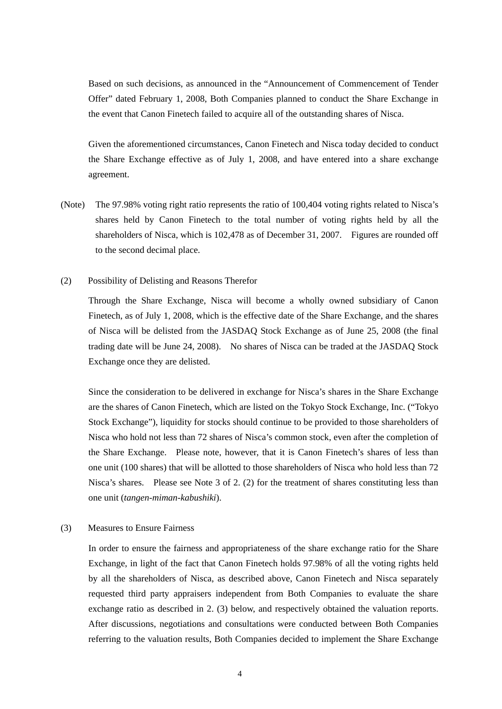Based on such decisions, as announced in the "Announcement of Commencement of Tender Offer" dated February 1, 2008, Both Companies planned to conduct the Share Exchange in the event that Canon Finetech failed to acquire all of the outstanding shares of Nisca.

Given the aforementioned circumstances, Canon Finetech and Nisca today decided to conduct the Share Exchange effective as of July 1, 2008, and have entered into a share exchange agreement.

- (Note) The 97.98% voting right ratio represents the ratio of 100,404 voting rights related to Nisca's shares held by Canon Finetech to the total number of voting rights held by all the shareholders of Nisca, which is 102,478 as of December 31, 2007. Figures are rounded off to the second decimal place.
- (2) Possibility of Delisting and Reasons Therefor

Through the Share Exchange, Nisca will become a wholly owned subsidiary of Canon Finetech, as of July 1, 2008, which is the effective date of the Share Exchange, and the shares of Nisca will be delisted from the JASDAQ Stock Exchange as of June 25, 2008 (the final trading date will be June 24, 2008). No shares of Nisca can be traded at the JASDAQ Stock Exchange once they are delisted.

Since the consideration to be delivered in exchange for Nisca's shares in the Share Exchange are the shares of Canon Finetech, which are listed on the Tokyo Stock Exchange, Inc. ("Tokyo Stock Exchange"), liquidity for stocks should continue to be provided to those shareholders of Nisca who hold not less than 72 shares of Nisca's common stock, even after the completion of the Share Exchange. Please note, however, that it is Canon Finetech's shares of less than one unit (100 shares) that will be allotted to those shareholders of Nisca who hold less than 72 Nisca's shares. Please see Note 3 of 2. (2) for the treatment of shares constituting less than one unit (*tangen-miman-kabushiki*).

(3) Measures to Ensure Fairness

In order to ensure the fairness and appropriateness of the share exchange ratio for the Share Exchange, in light of the fact that Canon Finetech holds 97.98% of all the voting rights held by all the shareholders of Nisca, as described above, Canon Finetech and Nisca separately requested third party appraisers independent from Both Companies to evaluate the share exchange ratio as described in 2. (3) below, and respectively obtained the valuation reports. After discussions, negotiations and consultations were conducted between Both Companies referring to the valuation results, Both Companies decided to implement the Share Exchange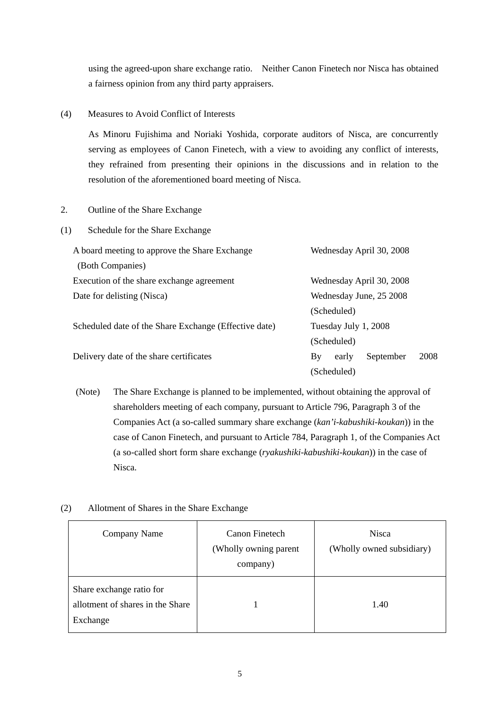using the agreed-upon share exchange ratio. Neither Canon Finetech nor Nisca has obtained a fairness opinion from any third party appraisers.

#### (4) Measures to Avoid Conflict of Interests

As Minoru Fujishima and Noriaki Yoshida, corporate auditors of Nisca, are concurrently serving as employees of Canon Finetech, with a view to avoiding any conflict of interests, they refrained from presenting their opinions in the discussions and in relation to the resolution of the aforementioned board meeting of Nisca.

## 2. Outline of the Share Exchange

(1) Schedule for the Share Exchange

| A board meeting to approve the Share Exchange         | Wednesday April 30, 2008         |  |  |  |  |
|-------------------------------------------------------|----------------------------------|--|--|--|--|
| (Both Companies)                                      |                                  |  |  |  |  |
| Execution of the share exchange agreement             | Wednesday April 30, 2008         |  |  |  |  |
| Date for delisting (Nisca)                            | Wednesday June, 25 2008          |  |  |  |  |
|                                                       | (Scheduled)                      |  |  |  |  |
| Scheduled date of the Share Exchange (Effective date) | Tuesday July 1, 2008             |  |  |  |  |
|                                                       | (Scheduled)                      |  |  |  |  |
| Delivery date of the share certificates               | 2008<br>September<br>By<br>early |  |  |  |  |
|                                                       | (Scheduled)                      |  |  |  |  |

(Note) The Share Exchange is planned to be implemented, without obtaining the approval of shareholders meeting of each company, pursuant to Article 796, Paragraph 3 of the Companies Act (a so-called summary share exchange (*kan'i-kabushiki-koukan*)) in the case of Canon Finetech, and pursuant to Article 784, Paragraph 1, of the Companies Act (a so-called short form share exchange (*ryakushiki-kabushiki-koukan*)) in the case of Nisca.

#### (2) Allotment of Shares in the Share Exchange

| Company Name                                                             | Canon Finetech<br>(Wholly owning parent<br>company) | <b>Nisca</b><br>(Wholly owned subsidiary) |
|--------------------------------------------------------------------------|-----------------------------------------------------|-------------------------------------------|
| Share exchange ratio for<br>allotment of shares in the Share<br>Exchange |                                                     | 1.40                                      |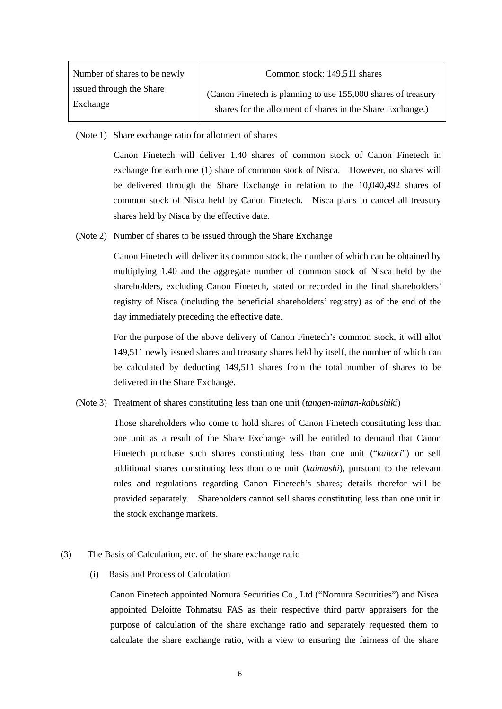| Number of shares to be newly | Common stock: 149,511 shares                                  |
|------------------------------|---------------------------------------------------------------|
| issued through the Share     | (Canon Finetech is planning to use 155,000 shares of treasury |
| Exchange                     | shares for the allotment of shares in the Share Exchange.)    |

(Note 1) Share exchange ratio for allotment of shares

Canon Finetech will deliver 1.40 shares of common stock of Canon Finetech in exchange for each one (1) share of common stock of Nisca. However, no shares will be delivered through the Share Exchange in relation to the 10,040,492 shares of common stock of Nisca held by Canon Finetech. Nisca plans to cancel all treasury shares held by Nisca by the effective date.

(Note 2) Number of shares to be issued through the Share Exchange

Canon Finetech will deliver its common stock, the number of which can be obtained by multiplying 1.40 and the aggregate number of common stock of Nisca held by the shareholders, excluding Canon Finetech, stated or recorded in the final shareholders' registry of Nisca (including the beneficial shareholders' registry) as of the end of the day immediately preceding the effective date.

For the purpose of the above delivery of Canon Finetech's common stock, it will allot 149,511 newly issued shares and treasury shares held by itself, the number of which can be calculated by deducting 149,511 shares from the total number of shares to be delivered in the Share Exchange.

(Note 3) Treatment of shares constituting less than one unit (*tangen-miman-kabushiki*)

Those shareholders who come to hold shares of Canon Finetech constituting less than one unit as a result of the Share Exchange will be entitled to demand that Canon Finetech purchase such shares constituting less than one unit ("*kaitori*") or sell additional shares constituting less than one unit (*kaimashi*), pursuant to the relevant rules and regulations regarding Canon Finetech's shares; details therefor will be provided separately. Shareholders cannot sell shares constituting less than one unit in the stock exchange markets.

- (3) The Basis of Calculation, etc. of the share exchange ratio
	- (i) Basis and Process of Calculation

Canon Finetech appointed Nomura Securities Co., Ltd ("Nomura Securities") and Nisca appointed Deloitte Tohmatsu FAS as their respective third party appraisers for the purpose of calculation of the share exchange ratio and separately requested them to calculate the share exchange ratio, with a view to ensuring the fairness of the share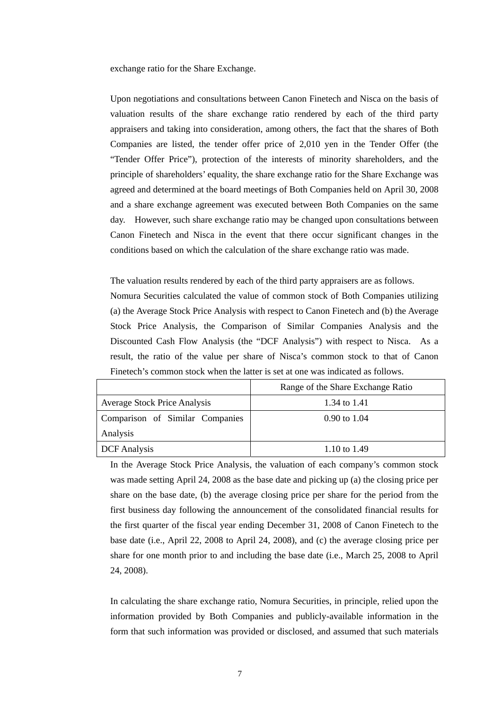exchange ratio for the Share Exchange.

Upon negotiations and consultations between Canon Finetech and Nisca on the basis of valuation results of the share exchange ratio rendered by each of the third party appraisers and taking into consideration, among others, the fact that the shares of Both Companies are listed, the tender offer price of 2,010 yen in the Tender Offer (the "Tender Offer Price"), protection of the interests of minority shareholders, and the principle of shareholders' equality, the share exchange ratio for the Share Exchange was agreed and determined at the board meetings of Both Companies held on April 30, 2008 and a share exchange agreement was executed between Both Companies on the same day. However, such share exchange ratio may be changed upon consultations between Canon Finetech and Nisca in the event that there occur significant changes in the conditions based on which the calculation of the share exchange ratio was made.

The valuation results rendered by each of the third party appraisers are as follows. Nomura Securities calculated the value of common stock of Both Companies utilizing (a) the Average Stock Price Analysis with respect to Canon Finetech and (b) the Average Stock Price Analysis, the Comparison of Similar Companies Analysis and the Discounted Cash Flow Analysis (the "DCF Analysis") with respect to Nisca. As a result, the ratio of the value per share of Nisca's common stock to that of Canon Finetech's common stock when the latter is set at one was indicated as follows.

|                                     | Range of the Share Exchange Ratio |
|-------------------------------------|-----------------------------------|
| <b>Average Stock Price Analysis</b> | 1.34 to 1.41                      |
| Comparison of Similar Companies     | $0.90 \text{ to } 1.04$           |
| Analysis                            |                                   |
| <b>DCF</b> Analysis                 | 1.10 to 1.49                      |

In the Average Stock Price Analysis, the valuation of each company's common stock was made setting April 24, 2008 as the base date and picking up (a) the closing price per share on the base date, (b) the average closing price per share for the period from the first business day following the announcement of the consolidated financial results for the first quarter of the fiscal year ending December 31, 2008 of Canon Finetech to the base date (i.e., April 22, 2008 to April 24, 2008), and (c) the average closing price per share for one month prior to and including the base date (i.e., March 25, 2008 to April 24, 2008).

In calculating the share exchange ratio, Nomura Securities, in principle, relied upon the information provided by Both Companies and publicly-available information in the form that such information was provided or disclosed, and assumed that such materials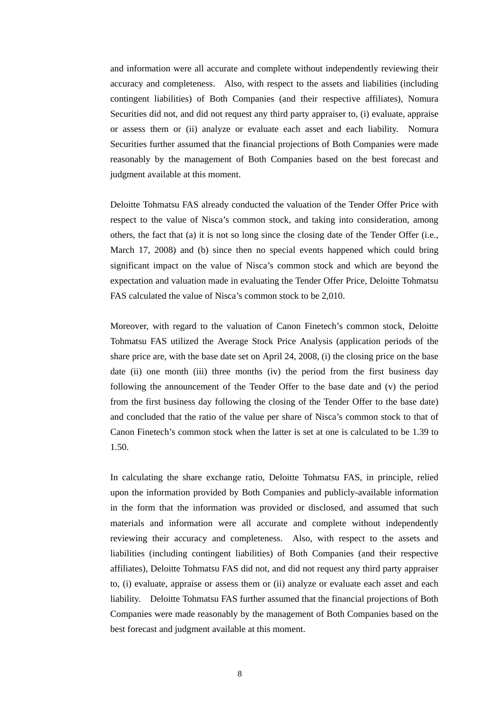and information were all accurate and complete without independently reviewing their accuracy and completeness. Also, with respect to the assets and liabilities (including contingent liabilities) of Both Companies (and their respective affiliates), Nomura Securities did not, and did not request any third party appraiser to, (i) evaluate, appraise or assess them or (ii) analyze or evaluate each asset and each liability. Nomura Securities further assumed that the financial projections of Both Companies were made reasonably by the management of Both Companies based on the best forecast and judgment available at this moment.

Deloitte Tohmatsu FAS already conducted the valuation of the Tender Offer Price with respect to the value of Nisca's common stock, and taking into consideration, among others, the fact that (a) it is not so long since the closing date of the Tender Offer (i.e., March 17, 2008) and (b) since then no special events happened which could bring significant impact on the value of Nisca's common stock and which are beyond the expectation and valuation made in evaluating the Tender Offer Price, Deloitte Tohmatsu FAS calculated the value of Nisca's common stock to be 2,010.

Moreover, with regard to the valuation of Canon Finetech's common stock, Deloitte Tohmatsu FAS utilized the Average Stock Price Analysis (application periods of the share price are, with the base date set on April 24, 2008, (i) the closing price on the base date (ii) one month (iii) three months (iv) the period from the first business day following the announcement of the Tender Offer to the base date and (v) the period from the first business day following the closing of the Tender Offer to the base date) and concluded that the ratio of the value per share of Nisca's common stock to that of Canon Finetech's common stock when the latter is set at one is calculated to be 1.39 to 1.50.

In calculating the share exchange ratio, Deloitte Tohmatsu FAS, in principle, relied upon the information provided by Both Companies and publicly-available information in the form that the information was provided or disclosed, and assumed that such materials and information were all accurate and complete without independently reviewing their accuracy and completeness. Also, with respect to the assets and liabilities (including contingent liabilities) of Both Companies (and their respective affiliates), Deloitte Tohmatsu FAS did not, and did not request any third party appraiser to, (i) evaluate, appraise or assess them or (ii) analyze or evaluate each asset and each liability. Deloitte Tohmatsu FAS further assumed that the financial projections of Both Companies were made reasonably by the management of Both Companies based on the best forecast and judgment available at this moment.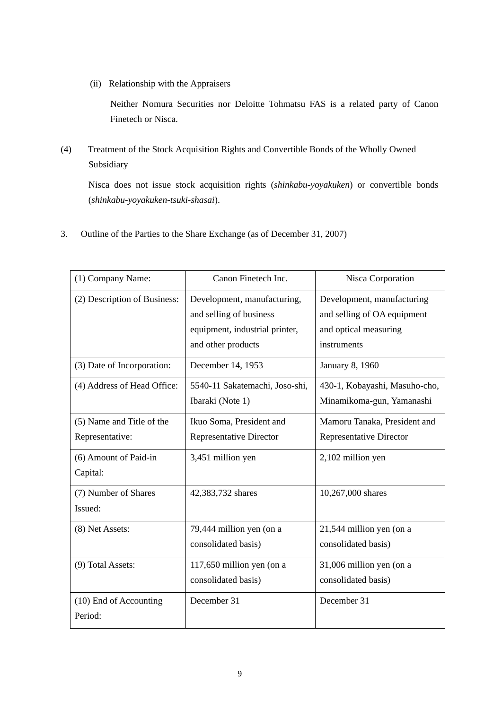(ii) Relationship with the Appraisers

Neither Nomura Securities nor Deloitte Tohmatsu FAS is a related party of Canon Finetech or Nisca.

(4) Treatment of the Stock Acquisition Rights and Convertible Bonds of the Wholly Owned Subsidiary

Nisca does not issue stock acquisition rights (*shinkabu-yoyakuken*) or convertible bonds (*shinkabu-yoyakuken-tsuki-shasai*).

3. Outline of the Parties to the Share Exchange (as of December 31, 2007)

| (1) Company Name:                 | Canon Finetech Inc.                                                                                            | Nisca Corporation                                                                                 |  |
|-----------------------------------|----------------------------------------------------------------------------------------------------------------|---------------------------------------------------------------------------------------------------|--|
| (2) Description of Business:      | Development, manufacturing,<br>and selling of business<br>equipment, industrial printer,<br>and other products | Development, manufacturing<br>and selling of OA equipment<br>and optical measuring<br>instruments |  |
| (3) Date of Incorporation:        | December 14, 1953                                                                                              | January 8, 1960                                                                                   |  |
| (4) Address of Head Office:       | 5540-11 Sakatemachi, Joso-shi,<br>Ibaraki (Note 1)                                                             | 430-1, Kobayashi, Masuho-cho,<br>Minamikoma-gun, Yamanashi                                        |  |
| (5) Name and Title of the         | Ikuo Soma, President and                                                                                       | Mamoru Tanaka, President and                                                                      |  |
| Representative:                   | <b>Representative Director</b>                                                                                 | <b>Representative Director</b>                                                                    |  |
| (6) Amount of Paid-in<br>Capital: | 3,451 million yen                                                                                              | 2,102 million yen                                                                                 |  |
| (7) Number of Shares<br>Issued:   | 42,383,732 shares                                                                                              | 10,267,000 shares                                                                                 |  |
| (8) Net Assets:                   | 79,444 million yen (on a<br>consolidated basis)                                                                | 21,544 million yen (on a<br>consolidated basis)                                                   |  |
| (9) Total Assets:                 | 117,650 million yen (on a<br>consolidated basis)                                                               | 31,006 million yen (on a<br>consolidated basis)                                                   |  |
| (10) End of Accounting<br>Period: | December 31                                                                                                    | December 31                                                                                       |  |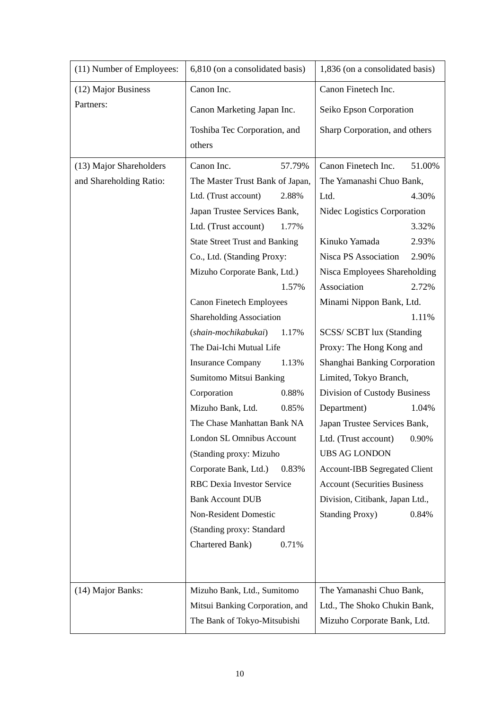| (11) Number of Employees: | 6,810 (on a consolidated basis)       | 1,836 (on a consolidated basis)      |  |
|---------------------------|---------------------------------------|--------------------------------------|--|
| (12) Major Business       | Canon Inc.                            | Canon Finetech Inc.                  |  |
| Partners:                 | Canon Marketing Japan Inc.            | Seiko Epson Corporation              |  |
|                           | Toshiba Tec Corporation, and          | Sharp Corporation, and others        |  |
|                           | others                                |                                      |  |
| (13) Major Shareholders   | Canon Inc.<br>57.79%                  | Canon Finetech Inc.<br>51.00%        |  |
| and Shareholding Ratio:   | The Master Trust Bank of Japan,       | The Yamanashi Chuo Bank,             |  |
|                           | Ltd. (Trust account)<br>2.88%         | Ltd.<br>4.30%                        |  |
|                           | Japan Trustee Services Bank,          | Nidec Logistics Corporation          |  |
|                           | Ltd. (Trust account)<br>1.77%         | 3.32%                                |  |
|                           | <b>State Street Trust and Banking</b> | Kinuko Yamada<br>2.93%               |  |
|                           | Co., Ltd. (Standing Proxy:            | Nisca PS Association<br>2.90%        |  |
|                           | Mizuho Corporate Bank, Ltd.)          | Nisca Employees Shareholding         |  |
|                           | 1.57%                                 | Association<br>2.72%                 |  |
|                           | <b>Canon Finetech Employees</b>       | Minami Nippon Bank, Ltd.             |  |
|                           | <b>Shareholding Association</b>       | 1.11%                                |  |
|                           | (shain-mochikabukai)<br>1.17%         | SCSS/ SCBT lux (Standing             |  |
|                           | The Dai-Ichi Mutual Life              | Proxy: The Hong Kong and             |  |
|                           | <b>Insurance Company</b><br>1.13%     | Shanghai Banking Corporation         |  |
|                           | Sumitomo Mitsui Banking               | Limited, Tokyo Branch,               |  |
|                           | Corporation<br>0.88%                  | Division of Custody Business         |  |
|                           | Mizuho Bank, Ltd.<br>0.85%            | Department)<br>1.04%                 |  |
|                           | The Chase Manhattan Bank NA           | Japan Trustee Services Bank,         |  |
|                           | London SL Omnibus Account             | Ltd. (Trust account) 0.90%           |  |
|                           | (Standing proxy: Mizuho               | <b>UBS AG LONDON</b>                 |  |
|                           | Corporate Bank, Ltd.)<br>0.83%        | <b>Account-IBB Segregated Client</b> |  |
|                           | RBC Dexia Investor Service            | <b>Account (Securities Business</b>  |  |
|                           | <b>Bank Account DUB</b>               | Division, Citibank, Japan Ltd.,      |  |
|                           | Non-Resident Domestic                 | 0.84%<br><b>Standing Proxy)</b>      |  |
|                           | (Standing proxy: Standard             |                                      |  |
|                           | Chartered Bank)<br>0.71%              |                                      |  |
|                           |                                       |                                      |  |
|                           |                                       |                                      |  |
| (14) Major Banks:         | Mizuho Bank, Ltd., Sumitomo           | The Yamanashi Chuo Bank,             |  |
|                           | Mitsui Banking Corporation, and       | Ltd., The Shoko Chukin Bank,         |  |
|                           | The Bank of Tokyo-Mitsubishi          | Mizuho Corporate Bank, Ltd.          |  |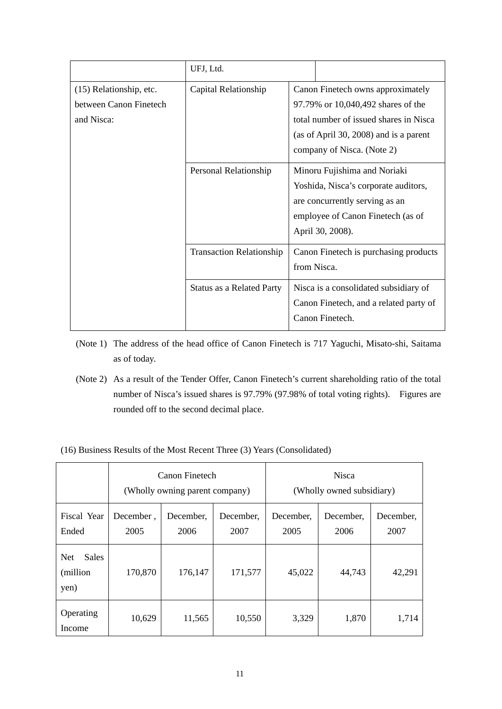|                                                                 | UFJ, Ltd.                        |                                                                                                                                                                                                                                                                                                                               |  |  |
|-----------------------------------------------------------------|----------------------------------|-------------------------------------------------------------------------------------------------------------------------------------------------------------------------------------------------------------------------------------------------------------------------------------------------------------------------------|--|--|
| (15) Relationship, etc.<br>between Canon Finetech<br>and Nisca: | Capital Relationship             | Canon Finetech owns approximately<br>97.79% or 10,040,492 shares of the<br>total number of issued shares in Nisca<br>(as of April 30, 2008) and is a parent<br>company of Nisca. (Note 2)                                                                                                                                     |  |  |
|                                                                 | Personal Relationship            | Minoru Fujishima and Noriaki<br>Yoshida, Nisca's corporate auditors,<br>are concurrently serving as an<br>employee of Canon Finetech (as of<br>April 30, 2008).<br>Canon Finetech is purchasing products<br>from Nisca.<br>Nisca is a consolidated subsidiary of<br>Canon Finetech, and a related party of<br>Canon Finetech. |  |  |
|                                                                 | <b>Transaction Relationship</b>  |                                                                                                                                                                                                                                                                                                                               |  |  |
|                                                                 | <b>Status as a Related Party</b> |                                                                                                                                                                                                                                                                                                                               |  |  |

- (Note 1) The address of the head office of Canon Finetech is 717 Yaguchi, Misato-shi, Saitama as of today.
- (Note 2) As a result of the Tender Offer, Canon Finetech's current shareholding ratio of the total number of Nisca's issued shares is 97.79% (97.98% of total voting rights). Figures are rounded off to the second decimal place.
- (16) Business Results of the Most Recent Three (3) Years (Consolidated)

|                                                 | Canon Finetech<br>(Wholly owning parent company) |                   |                   | <b>Nisca</b><br>(Wholly owned subsidiary) |                   |                   |
|-------------------------------------------------|--------------------------------------------------|-------------------|-------------------|-------------------------------------------|-------------------|-------------------|
| Fiscal Year<br>Ended                            | December,<br>2005                                | December,<br>2006 | December,<br>2007 | December,<br>2005                         | December,<br>2006 | December,<br>2007 |
| <b>Sales</b><br><b>Net</b><br>(million)<br>yen) | 170,870                                          | 176,147           | 171,577           | 45,022                                    | 44,743            | 42,291            |
| Operating<br>Income                             | 10,629                                           | 11,565            | 10,550            | 3,329                                     | 1,870             | 1,714             |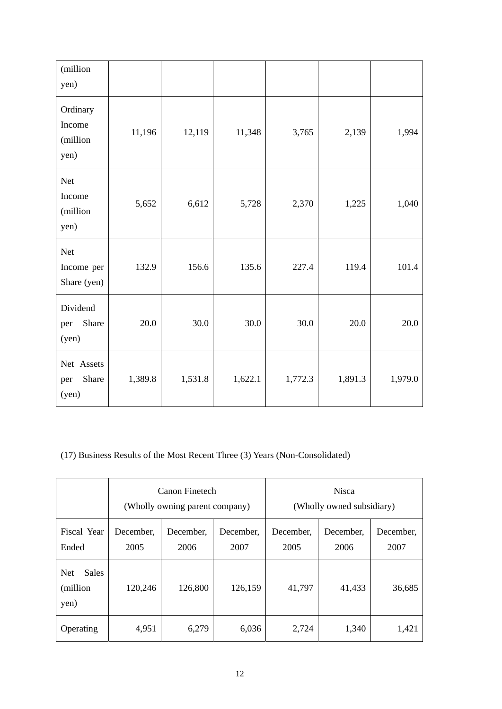| (million<br>yen)                       |         |         |         |         |         |         |
|----------------------------------------|---------|---------|---------|---------|---------|---------|
| Ordinary<br>Income<br>(million<br>yen) | 11,196  | 12,119  | 11,348  | 3,765   | 2,139   | 1,994   |
| Net<br>Income<br>(million<br>yen)      | 5,652   | 6,612   | 5,728   | 2,370   | 1,225   | 1,040   |
| Net<br>Income per<br>Share (yen)       | 132.9   | 156.6   | 135.6   | 227.4   | 119.4   | 101.4   |
| Dividend<br>Share<br>per<br>(yen)      | 20.0    | 30.0    | 30.0    | 30.0    | 20.0    | 20.0    |
| Net Assets<br>Share<br>per<br>(yen)    | 1,389.8 | 1,531.8 | 1,622.1 | 1,772.3 | 1,891.3 | 1,979.0 |

(17) Business Results of the Most Recent Three (3) Years (Non-Consolidated)

|                                                 | Canon Finetech<br>(Wholly owning parent company) |                   |                   | <b>Nisca</b><br>(Wholly owned subsidiary) |                   |                   |
|-------------------------------------------------|--------------------------------------------------|-------------------|-------------------|-------------------------------------------|-------------------|-------------------|
| Fiscal Year<br>Ended                            | December,<br>2005                                | December,<br>2006 | December.<br>2007 | December.<br>2005                         | December.<br>2006 | December.<br>2007 |
| <b>Sales</b><br><b>Net</b><br>(million)<br>yen) | 120,246                                          | 126,800           | 126,159           | 41,797                                    | 41,433            | 36,685            |
| Operating                                       | 4,951                                            | 6,279             | 6,036             | 2,724                                     | 1,340             | 1,421             |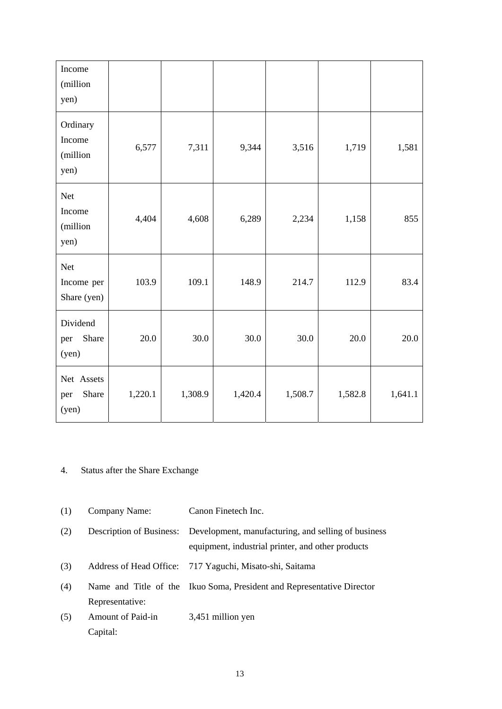| Income<br>(million<br>yen)               |         |         |         |         |         |         |
|------------------------------------------|---------|---------|---------|---------|---------|---------|
| Ordinary<br>Income<br>(million<br>yen)   | 6,577   | 7,311   | 9,344   | 3,516   | 1,719   | 1,581   |
| <b>Net</b><br>Income<br>(million<br>yen) | 4,404   | 4,608   | 6,289   | 2,234   | 1,158   | 855     |
| Net<br>Income per<br>Share (yen)         | 103.9   | 109.1   | 148.9   | 214.7   | 112.9   | 83.4    |
| Dividend<br>Share<br>per<br>(yen)        | 20.0    | 30.0    | 30.0    | 30.0    | 20.0    | 20.0    |
| Net Assets<br>Share<br>per<br>(yen)      | 1,220.1 | 1,308.9 | 1,420.4 | 1,508.7 | 1,582.8 | 1,641.1 |

## 4. Status after the Share Exchange

- (1) Company Name: Canon Finetech Inc.
- (2) Description of Business: Development, manufacturing, and selling of business equipment, industrial printer, and other products
- (3) Address of Head Office: 717 Yaguchi, Misato-shi, Saitama
- (4) Name and Title of the Representative: Ikuo Soma, President and Representative Director
- (5) Amount of Paid-in Capital: 3,451 million yen